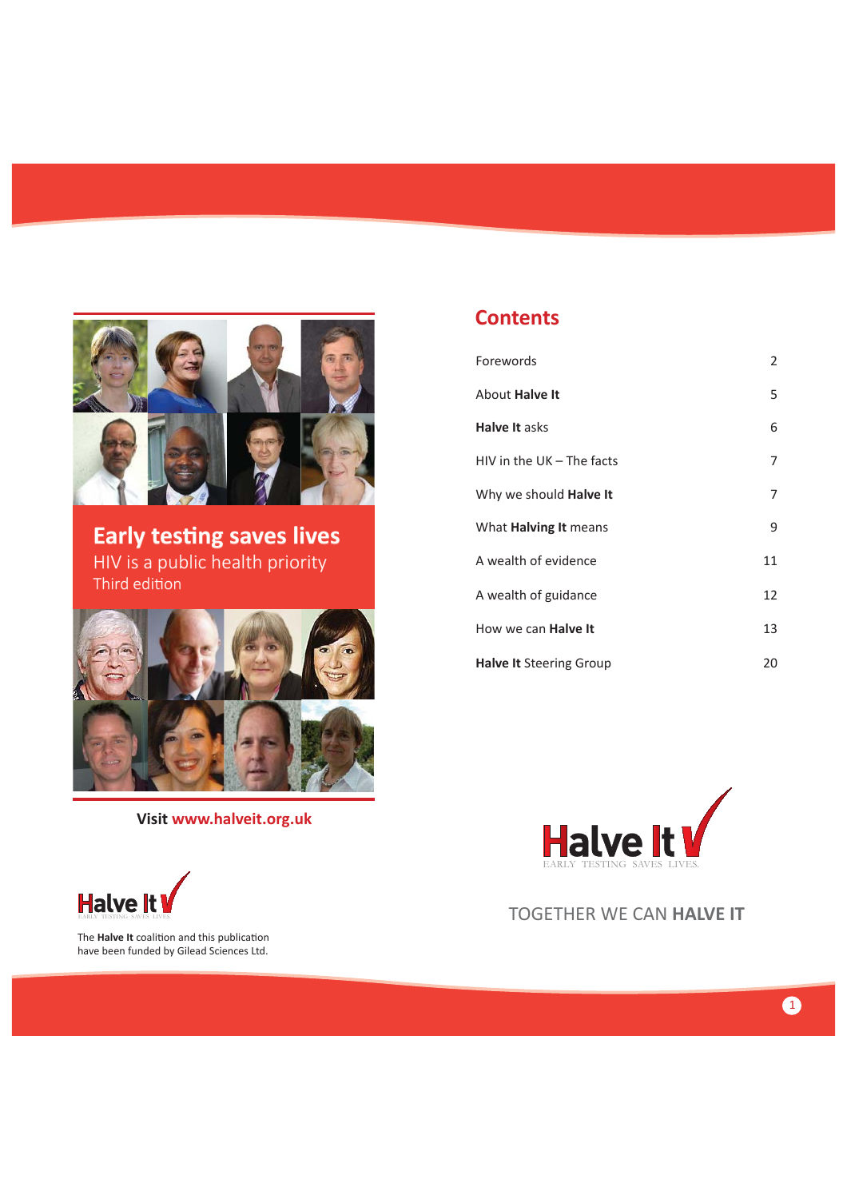

**Early testing saves lives** HIV is a public health priority Third edition



**Visit www.halveit.org.uk**

### **Contents**

| Forewords                      | 2  |
|--------------------------------|----|
| About <b>Halve It</b>          | 5  |
| <b>Halve It asks</b>           | 6  |
| HIV in the UK - The facts      | 7  |
| Why we should <b>Halve It</b>  | 7  |
| What <b>Halving It</b> means   | 9  |
| A wealth of evidence           | 11 |
| A wealth of guidance           | 12 |
| How we can <b>Halve It</b>     | 13 |
| <b>Halve It Steering Group</b> | 20 |



TOGETHER WE CAN **HALVE IT**



The **Halve It** coalition and this publication have been funded by Gilead Sciences Ltd.

 $\bullet$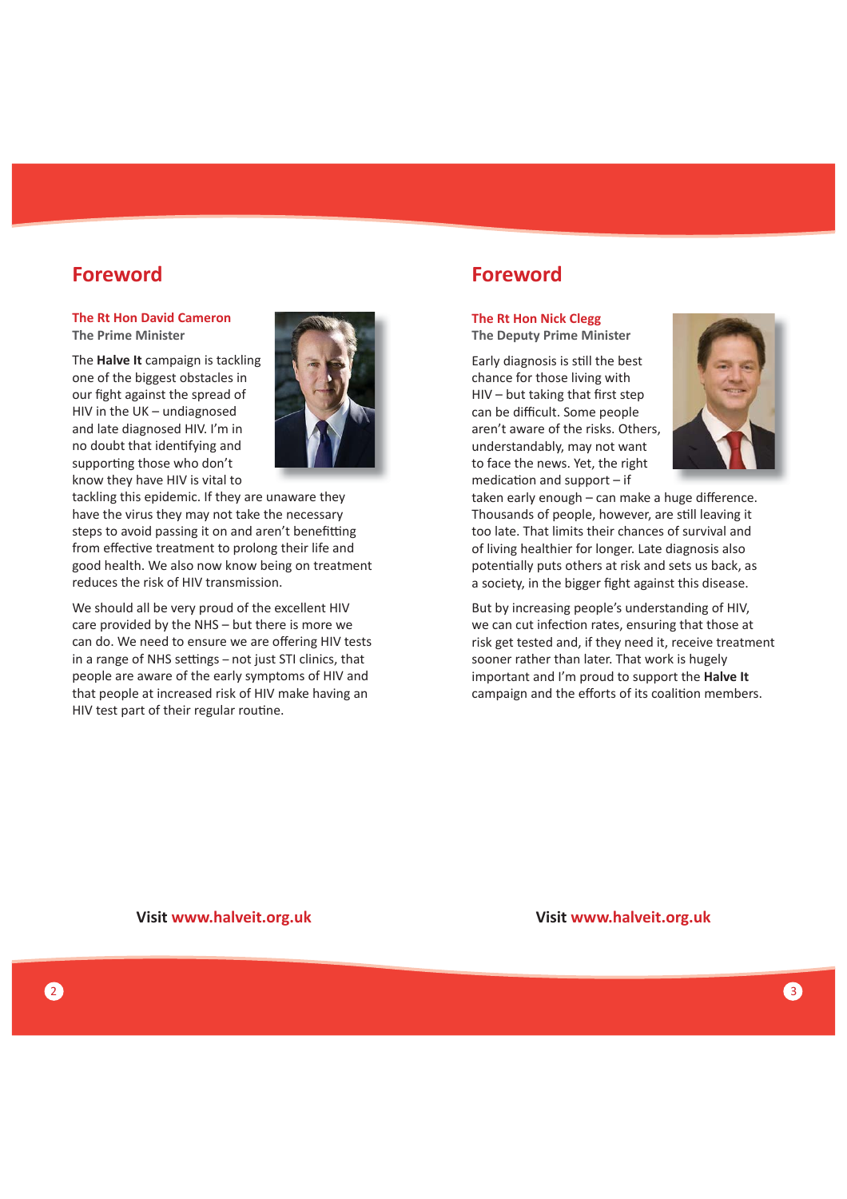### **Foreword**

#### **The Rt Hon David Cameron The Prime Minister**

The **Halve It** campaign is tackling one of the biggest obstacles in our fight against the spread of HIV in the UK – undiagnosed and late diagnosed HIV. I'm in no doubt that identifying and supporting those who don't know they have HIV is vital to



tackling this epidemic. If they are unaware they have the virus they may not take the necessary steps to avoid passing it on and aren't benefitting from effective treatment to prolong their life and good health. We also now know being on treatment reduces the risk of HIV transmission.

We should all be very proud of the excellent HIV care provided by the NHS – but there is more we can do. We need to ensure we are offering HIV tests in a range of NHS settings - not just STI clinics, that people are aware of the early symptoms of HIV and that people at increased risk of HIV make having an HIV test part of their regular routine.

# **Foreword**

### **The Rt Hon Nick Clegg**

**The Deputy Prime Minister**

Early diagnosis is still the best chance for those living with  $HIV - but taking that first step$ can be difficult. Some people aren't aware of the risks. Others, understandably, may not want to face the news. Yet, the right medication and support  $-$  if



taken early enough  $-$  can make a huge difference. Thousands of people, however, are still leaving it too late. That limits their chances of survival and of living healthier for longer. Late diagnosis also potentially puts others at risk and sets us back, as a society, in the bigger fight against this disease.

But by increasing people's understanding of HIV, we can cut infection rates, ensuring that those at risk get tested and, if they need it, receive treatment sooner rather than later. That work is hugely important and I'm proud to support the **Halve It** campaign and the efforts of its coalition members.

**Visit www.halveit.org.uk**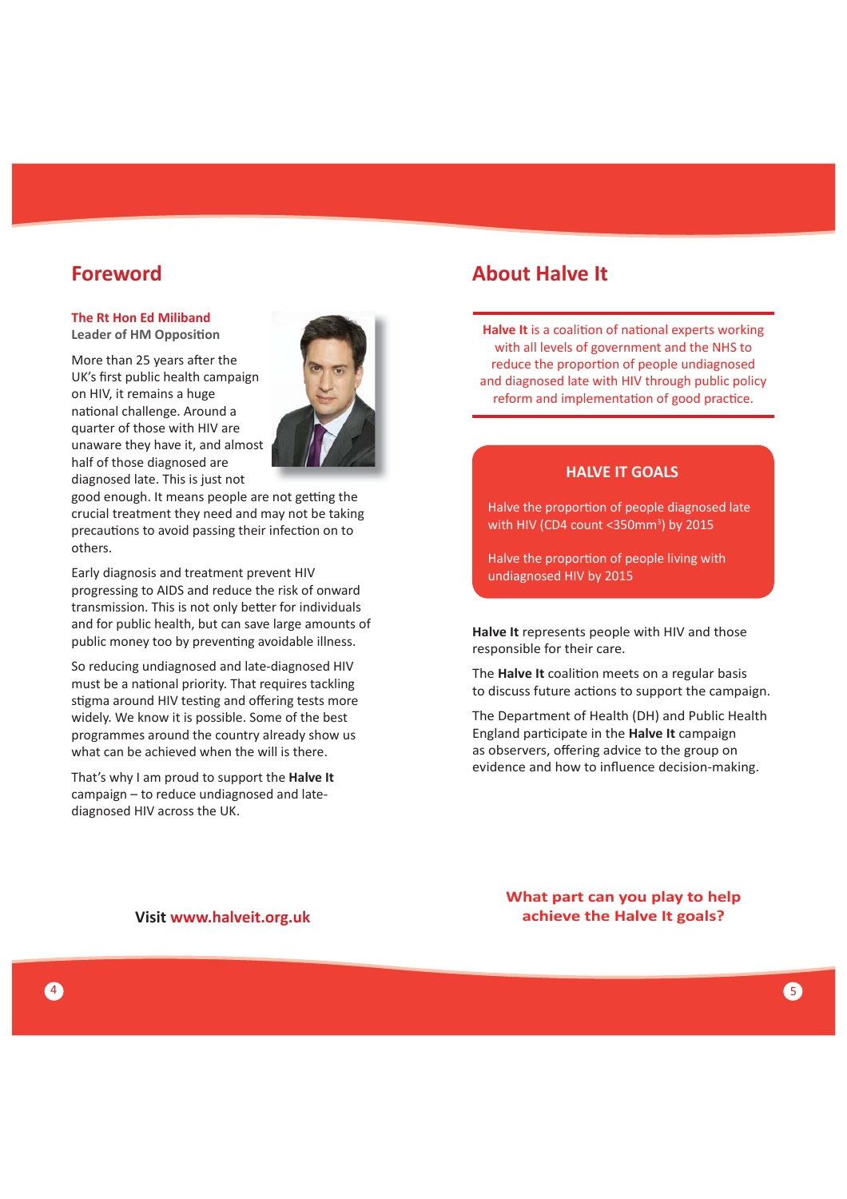### **Foreword**

### **The Rt Hon Ed Miliband**

**Leader of HM Opposition** 

More than 25 years after the UK's first public health campaign on HIV, it remains a huge national challenge. Around a quarter of those with HIV are unaware they have it, and almost half of those diagnosed are diagnosed late. This is just not



good enough. It means people are not getting the crucial treatment they need and may not be taking precautions to avoid passing their infection on to others.

Early diagnosis and treatment prevent HIV progressing to AIDS and reduce the risk of onward transmission. This is not only better for individuals and for public health, but can save large amounts of public money too by preventing avoidable illness.

So reducing undiagnosed and late-diagnosed HIV must be a national priority. That requires tackling stigma around HIV testing and offering tests more widely. We know it is possible. Some of the best programmes around the country already show us what can be achieved when the will is there.

That's why I am proud to support the **Halve It** campaign – to reduce undiagnosed and latediagnosed HIV across the UK.

## **About Halve It**

**Halve It** is a coalition of national experts working with all levels of government and the NHS to reduce the proportion of people undiagnosed and diagnosed late with HIV through public policy reform and implementation of good practice.

#### **HALVE IT GOALS**

Halve the proportion of people diagnosed late with HIV (CD4 count < $350$ mm<sup>3</sup>) by 2015

Halve the proportion of people living with undiagnosed HIV by 2015

**Halve It** represents people with HIV and those responsible for their care.

The **Halve It** coalition meets on a regular basis to discuss future actions to support the campaign.

The Department of Health (DH) and Public Health England parƟ cipate in the **Halve It** campaign as observers, offering advice to the group on evidence and how to influence decision-making.

**Visit www.halveit.org.uk**

**What part can you play to help achieve the Halve It goals?**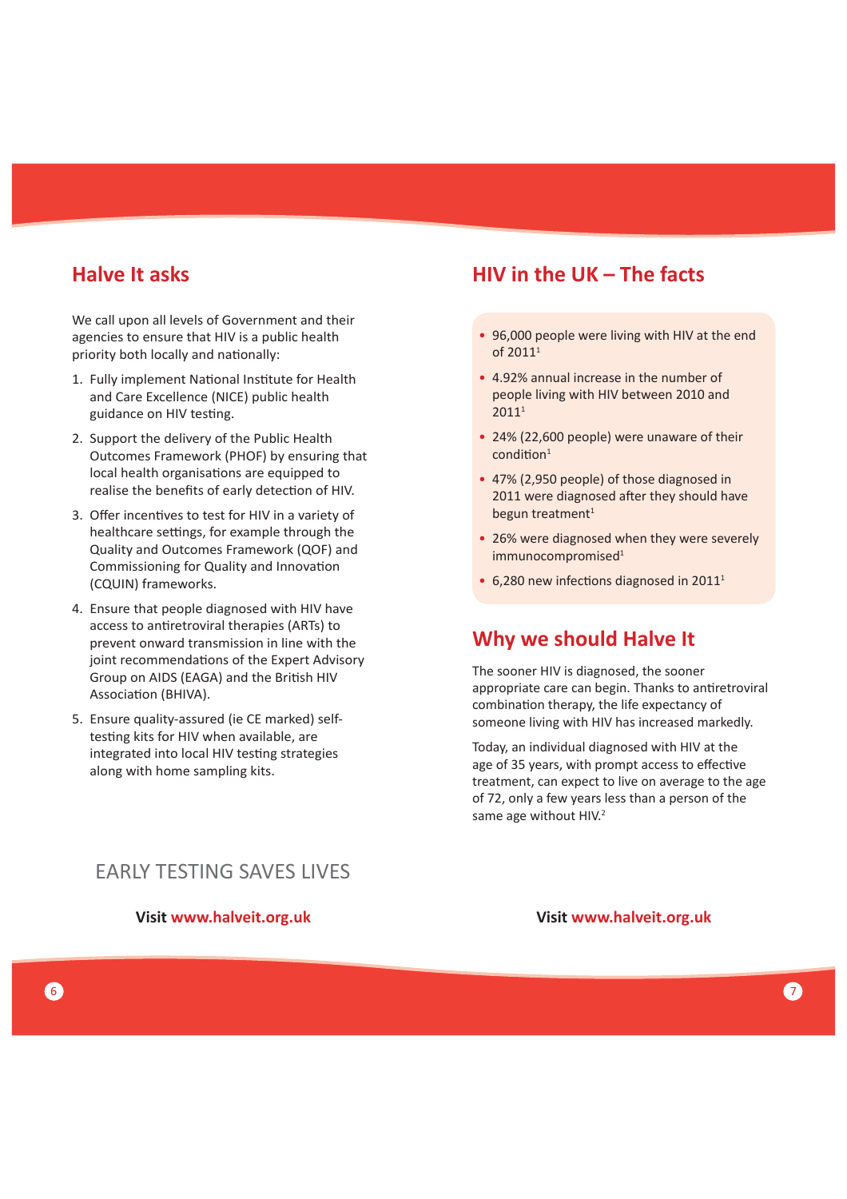# **Halve It asks**

We call upon all levels of Government and their agencies to ensure that HIV is a public health priority both locally and nationally:

- 1. Fully implement National Institute for Health and Care Excellence (NICE) public health guidance on HIV testing.
- 2. Support the delivery of the Public Health Outcomes Framework (PHOF) by ensuring that local health organisations are equipped to realise the benefits of early detection of HIV.
- 3. Offer incentives to test for HIV in a variety of healthcare settings, for example through the Quality and Outcomes Framework (QOF) and Commissioning for Quality and Innovation (CQUIN) frameworks.
- 4. Ensure that people diagnosed with HIV have access to antiretroviral therapies (ARTs) to prevent onward transmission in line with the joint recommendations of the Expert Advisory Group on AIDS (EAGA) and the British HIV Association (BHIVA).
- 5. Ensure quality-assured (ie CE marked) selftesting kits for HIV when available, are integrated into local HIV testing strategies along with home sampling kits.

# **HIV in the UK – The facts**

- 96,000 people were living with HIV at the end of 2011<sup>1</sup>
- 4.92% annual increase in the number of people living with HIV between 2010 and 20111
- 24% (22,600 people) were unaware of their  $condition<sup>1</sup>$
- 47% (2,950 people) of those diagnosed in 2011 were diagnosed after they should have begun treatment<sup>1</sup>
- 26% were diagnosed when they were severely immunocompromised<sup>1</sup>
- $\cdot$  6,280 new infections diagnosed in 2011<sup>1</sup>

### **Why we should Halve It**

The sooner HIV is diagnosed, the sooner appropriate care can begin. Thanks to antiretroviral combination therapy, the life expectancy of someone living with HIV has increased markedly.

Today, an individual diagnosed with HIV at the age of 35 years, with prompt access to effective treatment, can expect to live on average to the age of 72, only a few years less than a person of the same age without HIV.<sup>2</sup>

### EARLY TESTING SAVES LIVES

#### **Visit www.halveit.org.uk**

**Visit www.halveit.org.uk**

6 ) and the contract of the contract of the contract of the contract of the contract of the contract of  $\sigma$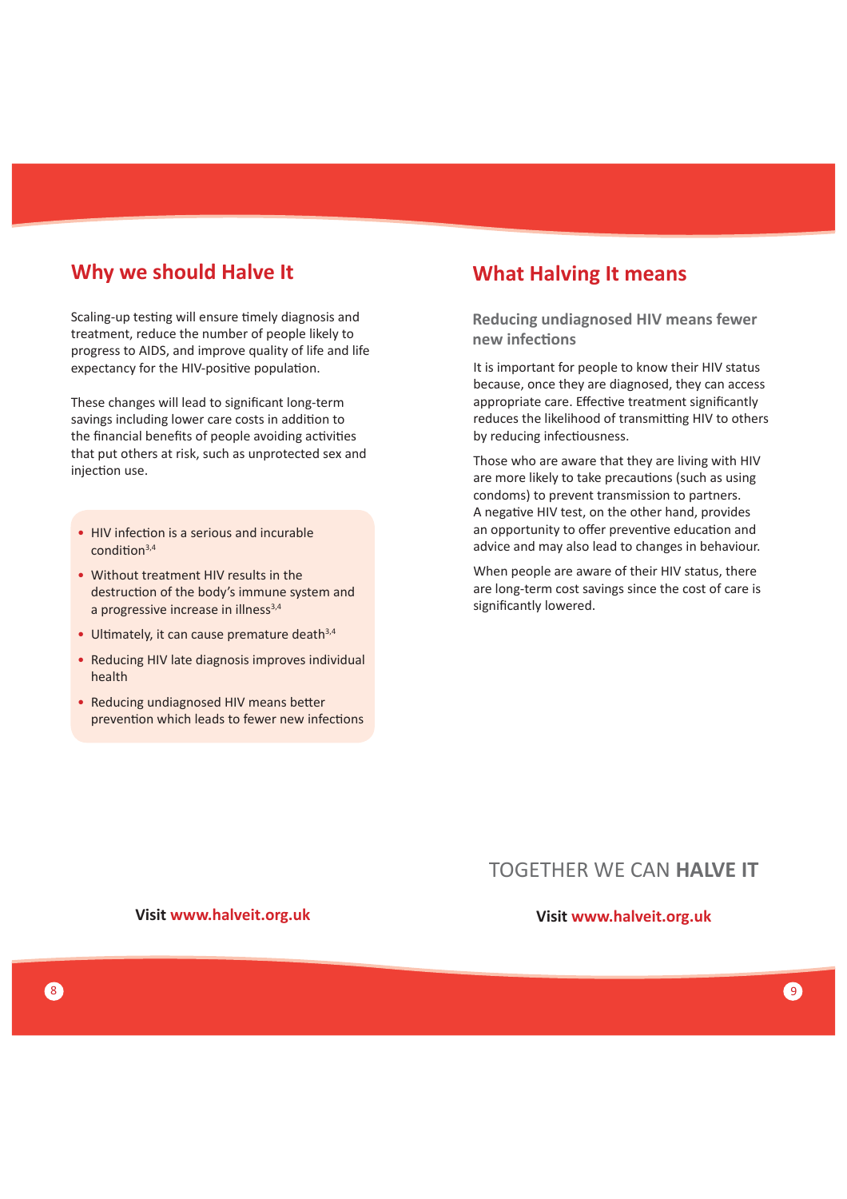### **Why we should Halve It <b>What Halving It means**

Scaling-up testing will ensure timely diagnosis and treatment, reduce the number of people likely to progress to AIDS, and improve quality of life and life expectancy for the HIV-positive population.

These changes will lead to significant long-term savings including lower care costs in addition to the financial benefits of people avoiding activities that put others at risk, such as unprotected sex and injection use.

- HIV infection is a serious and incurable condition<sup>3,4</sup>
- Without treatment HIV results in the destruction of the body's immune system and a progressive increase in illness<sup>3,4</sup>
- Ultimately, it can cause premature death $3,4$
- Reducing HIV late diagnosis improves individual health
- Reducing undiagnosed HIV means better prevention which leads to fewer new infections

**Visit www.halveit.org.uk**

**Reducing undiagnosed HIV means fewer new infecƟ ons**

It is important for people to know their HIV status because, once they are diagnosed, they can access appropriate care. Effective treatment significantly reduces the likelihood of transmitting HIV to others by reducing infectiousness.

Those who are aware that they are living with HIV are more likely to take precautions (such as using condoms) to prevent transmission to partners. A negative HIV test, on the other hand, provides an opportunity to offer preventive education and advice and may also lead to changes in behaviour.

When people are aware of their HIV status, there are long-term cost savings since the cost of care is significantly lowered.

# TOGETHER WE CAN **HALVE IT**

#### **Visit www.halveit.org.uk**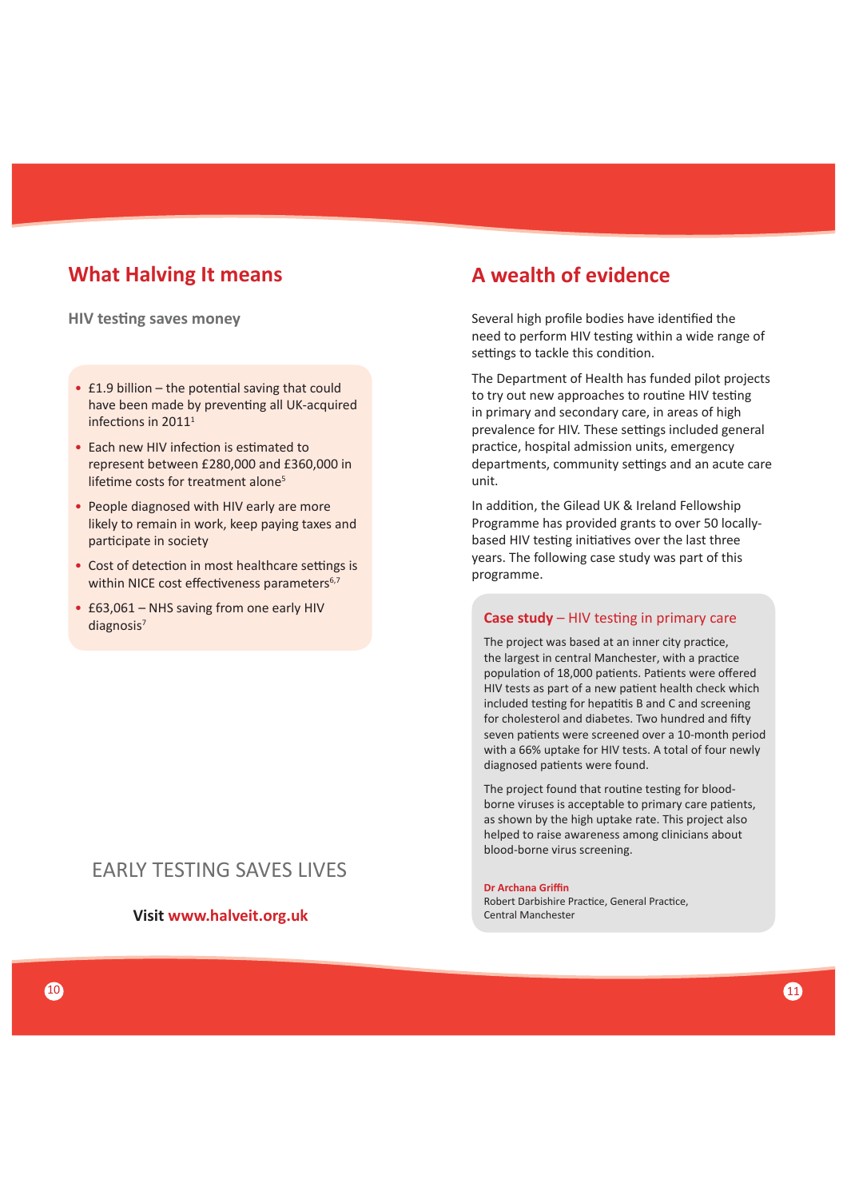# **What Halving It means**

**HIV testing saves money** 

- $\cdot$  £1.9 billion the potential saving that could have been made by preventing all UK-acquired infections in  $2011<sup>1</sup>$
- Fach new HIV infection is estimated to represent between £280,000 and £360,000 in lifetime costs for treatment alone<sup>5</sup>
- People diagnosed with HIV early are more likely to remain in work, keep paying taxes and participate in society
- Cost of detection in most healthcare settings is within NICE cost effectiveness parameters<sup>6,7</sup>
- £63,061 NHS saving from one early HIV diagnosis<sup>7</sup>

### EARLY TESTING SAVES LIVES

**Visit www.halveit.org.uk**

# **A wealth of evidence**

Several high profile bodies have identified the need to perform HIV testing within a wide range of settings to tackle this condition.

The Department of Health has funded pilot projects to try out new approaches to routine HIV testing in primary and secondary care, in areas of high prevalence for HIV. These settings included general practice, hospital admission units, emergency departments, community settings and an acute care unit.

In addition, the Gilead UK & Ireland Fellowship Programme has provided grants to over 50 locallybased HIV testing initiatives over the last three years. The following case study was part of this programme.

#### **Case study** – HIV testing in primary care

The project was based at an inner city practice, the largest in central Manchester, with a practice population of 18,000 patients. Patients were offered HIV tests as part of a new patient health check which included testing for hepatitis B and C and screening for cholesterol and diabetes. Two hundred and fifty seven patients were screened over a 10-month period with a 66% uptake for HIV tests. A total of four newly diagnosed patients were found.

The project found that routine testing for bloodborne viruses is acceptable to primary care patients, as shown by the high uptake rate. This project also helped to raise awareness among clinicians about blood-borne virus screening.

#### **Dr Archana Griffi n**

Robert Darbishire Practice, General Practice, Central Manchester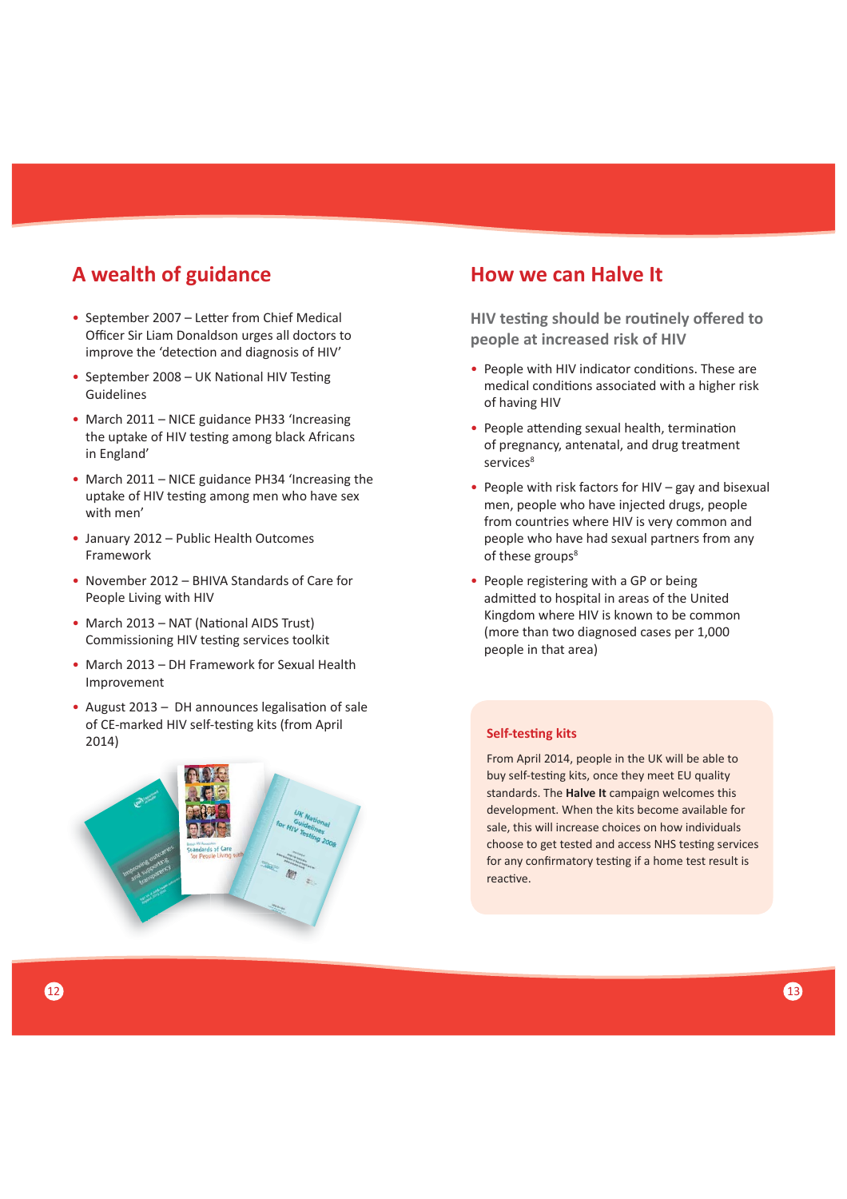# **A wealth of guidance**

- September 2007 Letter from Chief Medical Officer Sir Liam Donaldson urges all doctors to improve the 'detection and diagnosis of HIV'
- September 2008 UK National HIV Testing Guidelines
- March 2011 NICE guidance PH33 'Increasing the uptake of HIV testing among black Africans in England'
- March 2011 NICE guidance PH34 'Increasing the uptake of HIV testing among men who have sex with men'
- January 2012 Public Health Outcomes Framework
- November 2012 BHIVA Standards of Care for People Living with HIV
- March 2013 NAT (National AIDS Trust) Commissioning HIV testing services toolkit
- March 2013 DH Framework for Sexual Health Improvement
- August 2013 DH announces legalisation of sale of CE-marked HIV self-testing kits (from April 2014)



### **How we can Halve It**

**HIV testing should be routinely offered to people at increased risk of HIV**

- People with HIV indicator conditions. These are medical conditions associated with a higher risk of having HIV
- People attending sexual health, termination of pregnancy, antenatal, and drug treatment services<sup>8</sup>
- People with risk factors for HIV gay and bisexual men, people who have injected drugs, people from countries where HIV is very common and people who have had sexual partners from any of these groups<sup>8</sup>
- People registering with a GP or being admitted to hospital in areas of the United Kingdom where HIV is known to be common (more than two diagnosed cases per 1,000 people in that area)

#### **Self-testing kits**

From April 2014, people in the UK will be able to buy self-testing kits, once they meet EU quality standards. The **Halve It** campaign welcomes this development. When the kits become available for sale, this will increase choices on how individuals choose to get tested and access NHS testing services for any confirmatory testing if a home test result is reactive.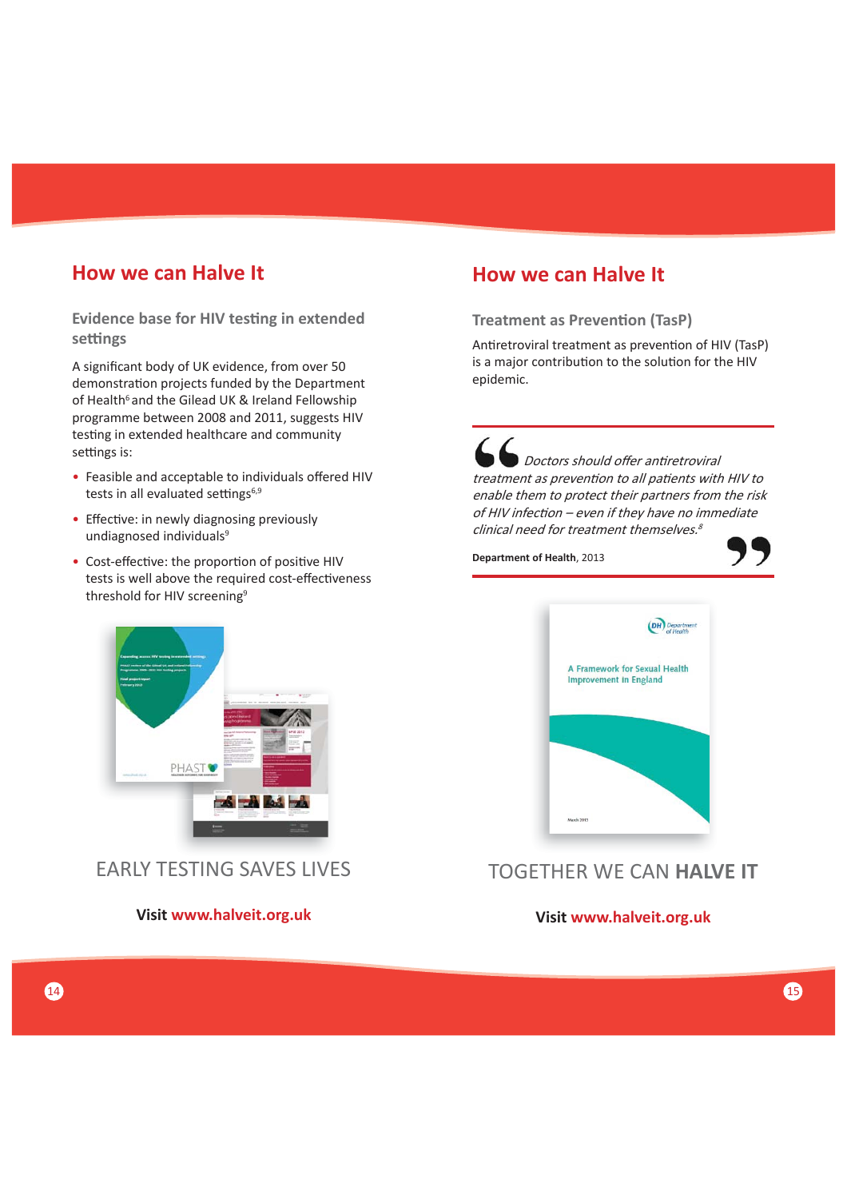### **How we can Halve It**

**Evidence base for HIV testing in extended seƫ ngs**

A significant body of UK evidence, from over 50 demonstration projects funded by the Department of Health<sup>6</sup> and the Gilead UK & Ireland Fellowship programme between 2008 and 2011, suggests HIV testing in extended healthcare and community settings is:

- Feasible and acceptable to individuals offered HIV tests in all evaluated settings $6,9$
- Effective: in newly diagnosing previously undiagnosed individuals<sup>9</sup>
- Cost-effective: the proportion of positive HIV tests is well above the required cost-effectiveness threshold for HIV screening<sup>9</sup>

# **How we can Halve It**

#### **Treatment as Prevention (TasP)**

Antiretroviral treatment as prevention of HIV (TasP) is a major contribution to the solution for the HIV epidemic.

Doctors should offer antiretroviral treatment as prevention to all patients with HIV to enable them to protect their partners from the risk of HIV infection – even if they have no immediate clinical need for treatment themselves.<sup>8</sup>

**Department of Health**, 2013





# TOGETHER WE CAN **HALVE IT**



EARLY TESTING SAVES LIVES

**Visit www.halveit.org.uk Visit www.halveit.org.uk**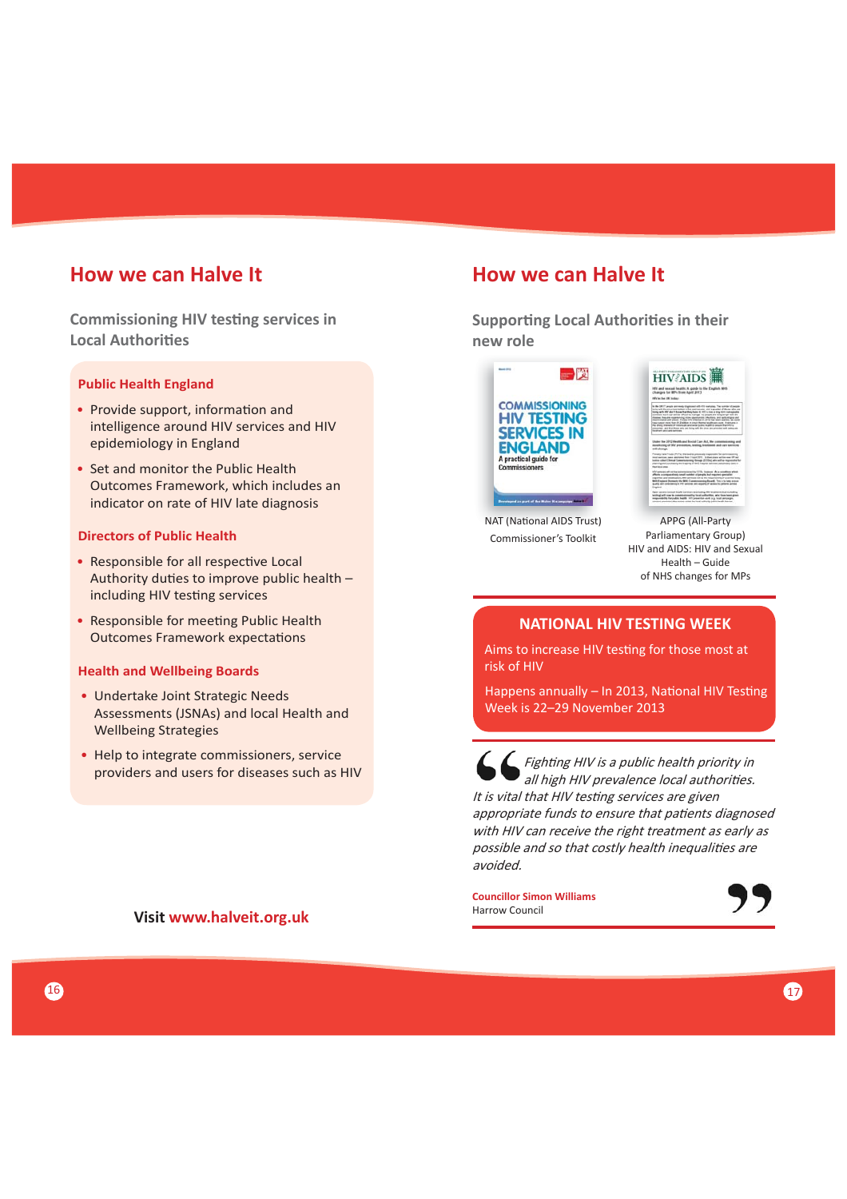### **How we can Halve It**

**Commissioning HIV testing services in Local Authorities** 

#### **Public Health England**

- Provide support, information and intelligence around HIV services and HIV epidemiology in England
- Set and monitor the Public Health Outcomes Framework, which includes an indicator on rate of HIV late diagnosis

#### **Directors of Public Health**

- Responsible for all respective Local Authority duties to improve public health  $$ including HIV testing services
- Responsible for meeting Public Health **Outcomes Framework expectations**

#### **Health and Wellbeing Boards**

- Undertake Joint Strategic Needs Assessments (JSNAs) and local Health and Wellbeing Strategies
- Help to integrate commissioners, service providers and users for diseases such as HIV

#### **Visit www.halveit.org.uk**

# **How we can Halve It**

**Supporting Local Authorities in their new role**



NAT (National AIDS Trust) APPG (All-Party Commissioner's Toolkit



Parliamentary Group) HIV and AIDS: HIV and Sexual Health – Guide of NHS changes for MPs

#### **NATIONAL HIV TESTING WEEK**

Aims to increase HIV testing for those most at risk of HIV

Happens annually - In 2013, National HIV Testing Week is 22–29 November 2013

Fighting HIV is a public health priority in all high HIV prevalence local authorities. It is vital that HIV testing services are given appropriate funds to ensure that patients diagnosed with HIV can receive the right treatment as early as possible and so that costly health inequalities are avoided.

**Councillor Simon Williams** Harrow Council

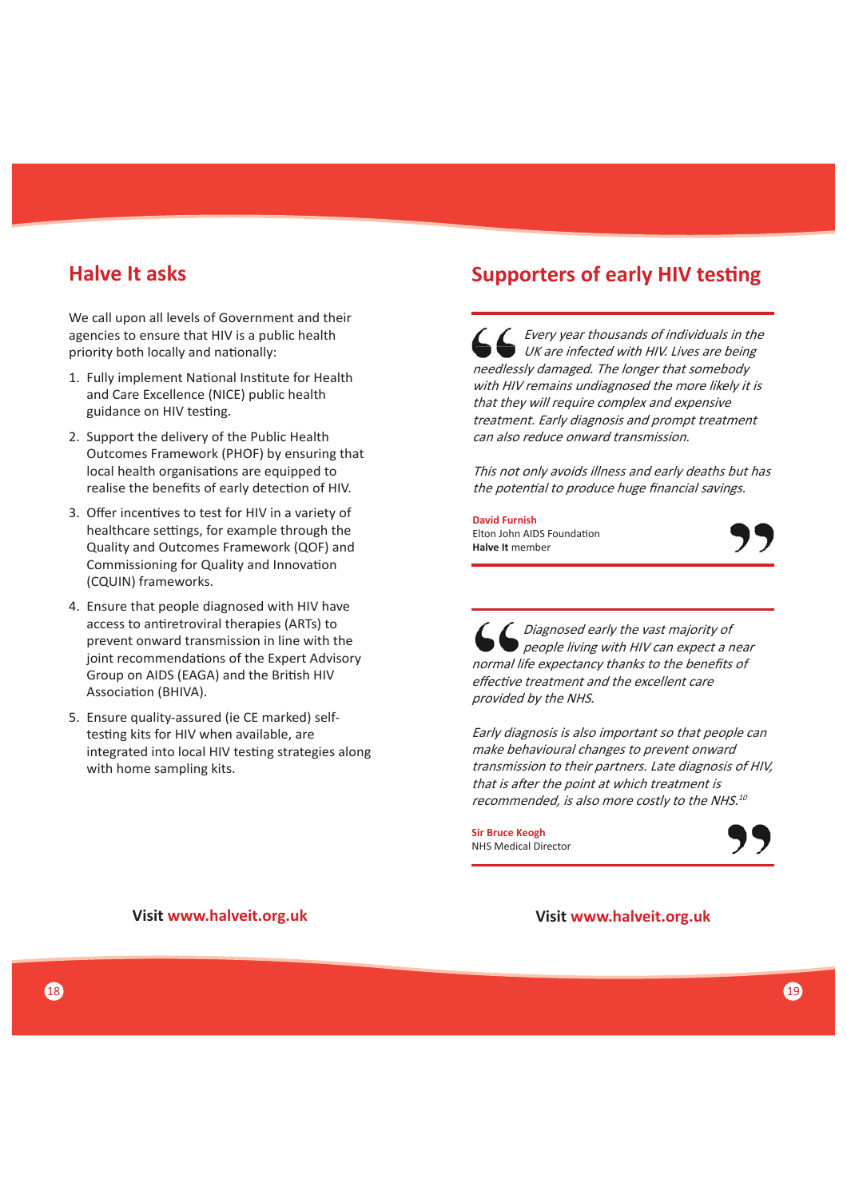### **Halve It asks**

We call upon all levels of Government and their agencies to ensure that HIV is a public health priority both locally and nationally:

- 1. Fully implement National Institute for Health and Care Excellence (NICE) public health guidance on HIV testing.
- 2. Support the delivery of the Public Health Outcomes Framework (PHOF) by ensuring that local health organisations are equipped to realise the benefits of early detection of HIV.
- 3. Offer incentives to test for HIV in a variety of healthcare settings, for example through the Quality and Outcomes Framework (QOF) and Commissioning for Quality and Innovation (CQUIN) frameworks.
- 4. Ensure that people diagnosed with HIV have access to antiretroviral therapies (ARTs) to prevent onward transmission in line with the joint recommendations of the Expert Advisory Group on AIDS (EAGA) and the British HIV Association (BHIVA).
- 5. Ensure quality-assured (ie CE marked) selftesting kits for HIV when available, are integrated into local HIV testing strategies along with home sampling kits.

# **Supporters of early HIV testing**

Every year thousands of individuals in the UK are infected with HIV. Lives are being needlessly damaged. The longer that somebody with HIV remains undiagnosed the more likely it is that they will require complex and expensive treatment. Early diagnosis and prompt treatment can also reduce onward transmission.

This not only avoids illness and early deaths but has the potential to produce huge financial savings.

**David Furnish**  Elton John AIDS Foundation **Halve It** member



 Diagnosed early the vast majority of people living with HIV can expect a near normal life expectancy thanks to the benefits of effective treatment and the excellent care provided by the NHS.

Early diagnosis is also important so that people can make behavioural changes to prevent onward transmission to their partners. Late diagnosis of HIV, that is after the point at which treatment is recommended, is also more costly to the NHS.<sup>10</sup>

**Sir Bruce Keogh** NHS Medical Director



**Visit www.halveit.org.uk**

**Visit www.halveit.org.uk**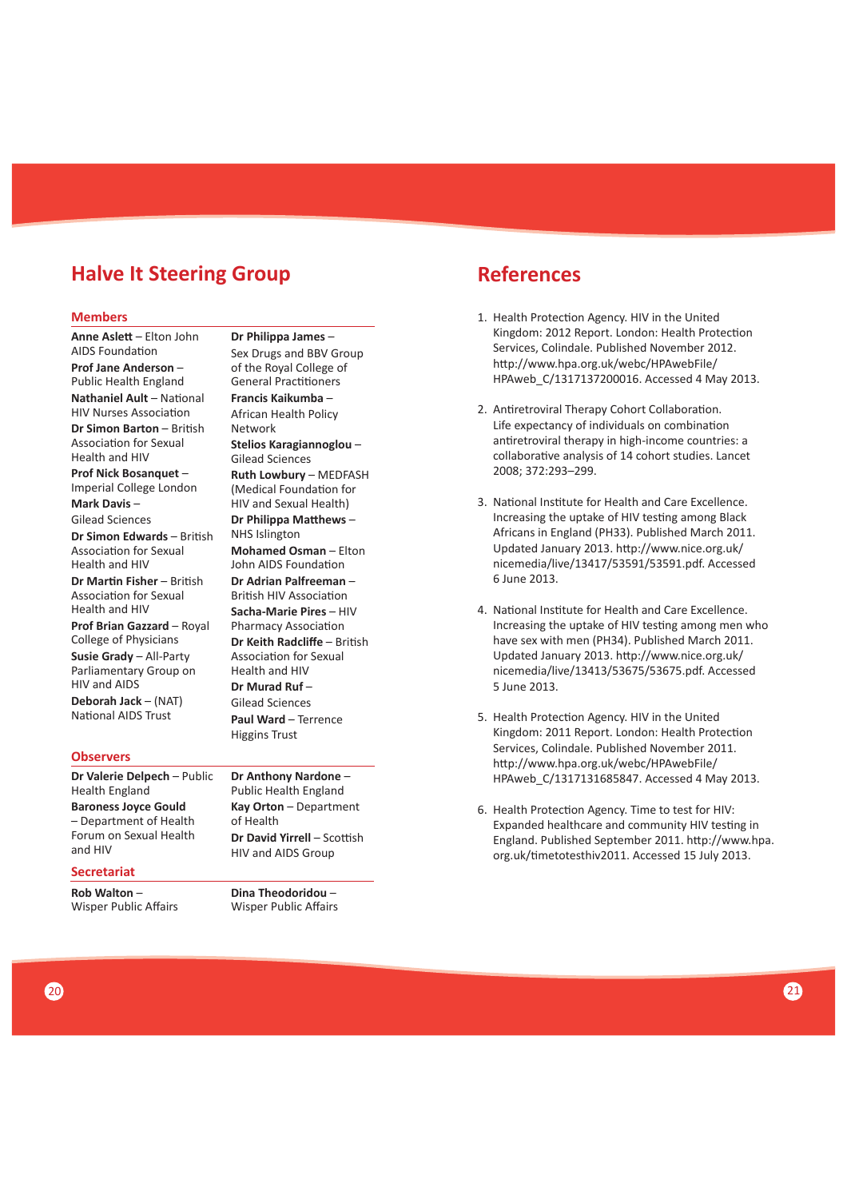# **Halve It Steering Group**

#### **Members**

**Anne AsleƩ** – Elton John **AIDS Foundation Prof Jane Anderson** – Public Health England **Nathaniel Ault - National** HIV Nurses Association **Dr Simon Barton** – British Association for Sexual Health and HIV **Prof Nick Bosanquet** – Imperial College London **Mark Davis** – Gilead Sciences **Dr Simon Edwards** – British Association for Sexual Health and HIV **Dr Martin Fisher** – British Association for Sexual Health and HIV **Prof Brian Gazzard** – Royal

College of Physicians **Susie Grady** – All-Party Parliamentary Group on HIV and AIDS

**Deborah Jack** – (NAT) National AIDS Trust

#### **Observers**

**Dr Valerie Delpech** – Public Health England **Baroness Joyce Gould** – Department of Health

Forum on Sexual Health and HIV

### **Secretariat**

**Rob Walton** – Wisper Public Affairs

**Dr Philippa James** – Sex Drugs and BBV Group of the Royal College of General Practitioners **Francis Kaikumba** – African Health Policy Network **Stelios Karagiannoglou** – Gilead Sciences **Ruth Lowbury** – MEDFASH (Medical Foundation for HIV and Sexual Health) **Dr Philippa Matthews –** NHS Islington **Mohamed Osman** – Elton John AIDS Foundation **Dr Adrian Palfreeman** – British HIV Association **Sacha-Marie Pires** – HIV Pharmacy Association **Dr Keith Radcliffe** – British Association for Sexual Health and HIV **Dr Murad Ruf** – Gilead Sciences **Paul Ward** – Terrence Higgins Trust

**Dr Anthony Nardone** – Public Health England **Kay Orton** – Department of Health **Dr David Yirrell – Scottish** HIV and AIDS Group

**Dina Theodoridou** – Wisper Public Affairs

# **References**

- 1. Health Protection Agency. HIV in the United Kingdom: 2012 Report. London: Health Protection Services, Colindale. Published November 2012. http://www.hpa.org.uk/webc/HPAwebFile/ HPAweb\_C/1317137200016. Accessed 4 May 2013.
- 2. Antiretroviral Therapy Cohort Collaboration. Life expectancy of individuals on combination antiretroviral therapy in high-income countries: a collaborative analysis of 14 cohort studies. Lancet 2008; 372:293–299.
- 3. National Institute for Health and Care Excellence. Increasing the uptake of HIV testing among Black Africans in England (PH33). Published March 2011. Updated January 2013. http://www.nice.org.uk/ nicemedia/live/13417/53591/53591.pdf. Accessed 6 June 2013.
- 4. National Institute for Health and Care Excellence. Increasing the uptake of HIV testing among men who have sex with men (PH34). Published March 2011. Updated January 2013. http://www.nice.org.uk/ nicemedia/live/13413/53675/53675.pdf. Accessed 5 June 2013.
- 5. Health Protection Agency. HIV in the United Kingdom: 2011 Report. London: Health Protection Services, Colindale. Published November 2011. http://www.hpa.org.uk/webc/HPAwebFile/ HPAweb\_C/1317131685847. Accessed 4 May 2013.
- 6. Health Protection Agency. Time to test for HIV: Expanded healthcare and community HIV testing in England. Published September 2011. http://www.hpa. org.uk/Ɵ metotesthiv2011. Accessed 15 July 2013.